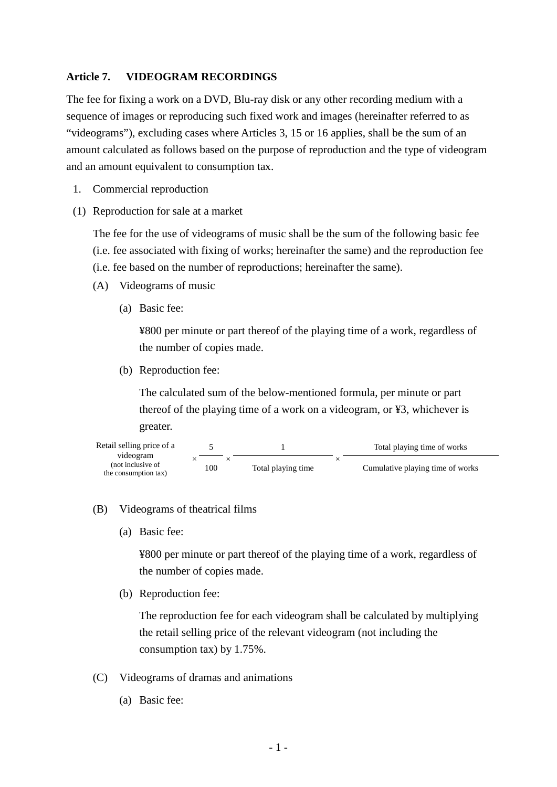### **Article 7. VIDEOGRAM RECORDINGS**

The fee for fixing a work on a DVD, Blu-ray disk or any other recording medium with a sequence of images or reproducing such fixed work and images (hereinafter referred to as "videograms"), excluding cases where Articles 3, 15 or 16 applies, shall be the sum of an amount calculated as follows based on the purpose of reproduction and the type of videogram and an amount equivalent to consumption tax.

- 1. Commercial reproduction
- (1) Reproduction for sale at a market

The fee for the use of videograms of music shall be the sum of the following basic fee (i.e. fee associated with fixing of works; hereinafter the same) and the reproduction fee (i.e. fee based on the number of reproductions; hereinafter the same).

- (A) Videograms of music
	- (a) Basic fee:

¥800 per minute or part thereof of the playing time of a work, regardless of the number of copies made.

(b) Reproduction fee:

The calculated sum of the below-mentioned formula, per minute or part thereof of the playing time of a work on a videogram, or ¥3, whichever is greater.



#### (B) Videograms of theatrical films

(a) Basic fee:

¥800 per minute or part thereof of the playing time of a work, regardless of the number of copies made.

(b) Reproduction fee:

The reproduction fee for each videogram shall be calculated by multiplying the retail selling price of the relevant videogram (not including the consumption tax) by 1.75%.

- (C) Videograms of dramas and animations
	- (a) Basic fee: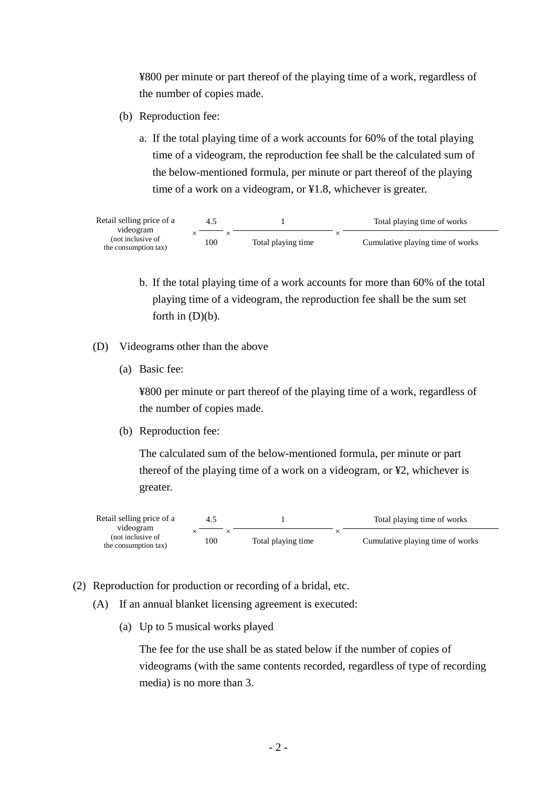¥800 per minute or part thereof of the playing time of a work, regardless of the number of copies made.

- (b) Reproduction fee:
	- a. If the total playing time of a work accounts for 60% of the total playing time of a videogram, the reproduction fee shall be the calculated sum of the below-mentioned formula, per minute or part thereof of the playing time of a work on a videogram, or ¥1.8, whichever is greater.

| Retail selling price of a      |     |                    | Total playing time of works      |
|--------------------------------|-----|--------------------|----------------------------------|
| videogram<br>(not inclusive of | 100 | Total playing time | Cumulative playing time of works |
| the consumption tax)           |     |                    |                                  |

- b. If the total playing time of a work accounts for more than 60% of the total playing time of a videogram, the reproduction fee shall be the sum set forth in (D)(b).
- (D) Videograms other than the above
	- (a) Basic fee:

¥800 per minute or part thereof of the playing time of a work, regardless of the number of copies made.

(b) Reproduction fee:

The calculated sum of the below-mentioned formula, per minute or part thereof of the playing time of a work on a videogram, or ¥2, whichever is greater.



- (2) Reproduction for production or recording of a bridal, etc.
	- (A) If an annual blanket licensing agreement is executed:
		- (a) Up to 5 musical works played

The fee for the use shall be as stated below if the number of copies of videograms (with the same contents recorded, regardless of type of recording media) is no more than 3.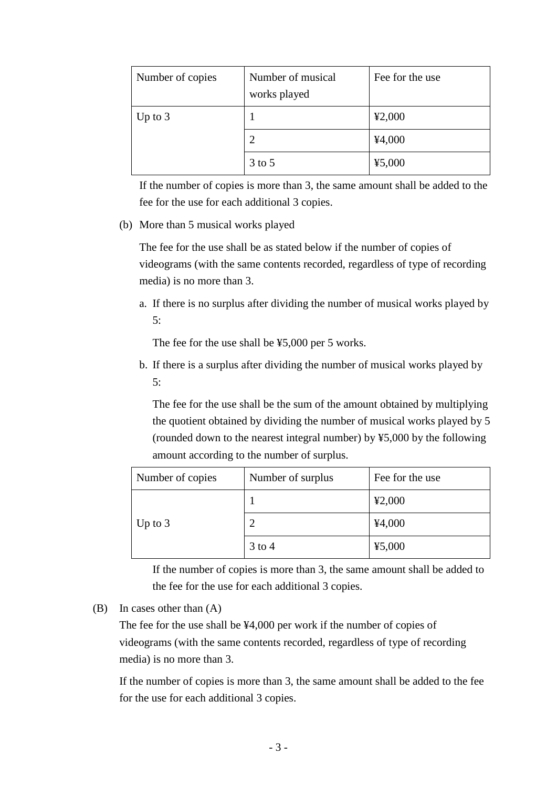| Number of copies | Number of musical<br>works played | Fee for the use |
|------------------|-----------------------------------|-----------------|
| Up to $3$        |                                   | 42,000          |
|                  | 2                                 | 44,000          |
|                  | $3$ to $5$                        | 45,000          |

If the number of copies is more than 3, the same amount shall be added to the fee for the use for each additional 3 copies.

#### (b) More than 5 musical works played

The fee for the use shall be as stated below if the number of copies of videograms (with the same contents recorded, regardless of type of recording media) is no more than 3.

a. If there is no surplus after dividing the number of musical works played by 5:

The fee for the use shall be ¥5,000 per 5 works.

b. If there is a surplus after dividing the number of musical works played by 5:

The fee for the use shall be the sum of the amount obtained by multiplying the quotient obtained by dividing the number of musical works played by 5 (rounded down to the nearest integral number) by ¥5,000 by the following amount according to the number of surplus.

| Number of copies | Number of surplus | Fee for the use |
|------------------|-------------------|-----------------|
|                  |                   | 42,000          |
| Up to $3$        |                   | 44,000          |
|                  | $3$ to 4          | 45,000          |

If the number of copies is more than 3, the same amount shall be added to the fee for the use for each additional 3 copies.

(B) In cases other than (A)

The fee for the use shall be ¥4,000 per work if the number of copies of videograms (with the same contents recorded, regardless of type of recording media) is no more than 3.

If the number of copies is more than 3, the same amount shall be added to the fee for the use for each additional 3 copies.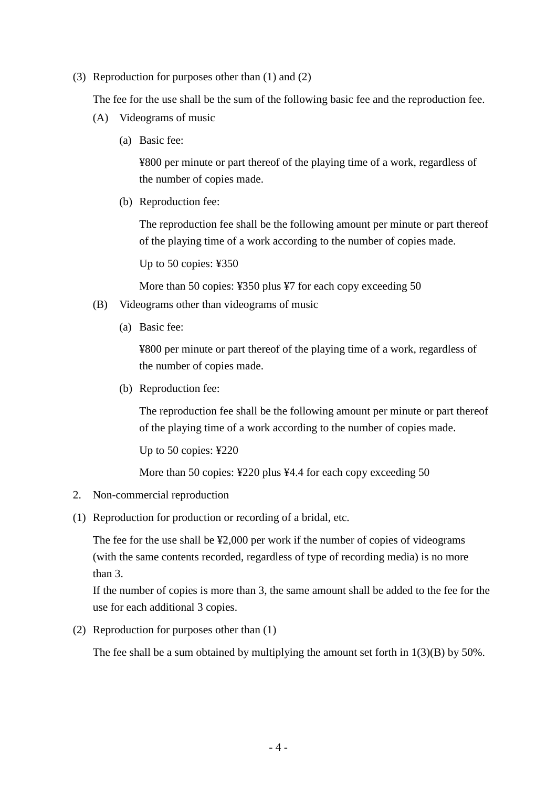(3) Reproduction for purposes other than (1) and (2)

The fee for the use shall be the sum of the following basic fee and the reproduction fee.

- (A) Videograms of music
	- (a) Basic fee:

¥800 per minute or part thereof of the playing time of a work, regardless of the number of copies made.

(b) Reproduction fee:

The reproduction fee shall be the following amount per minute or part thereof of the playing time of a work according to the number of copies made.

Up to 50 copies: ¥350

More than 50 copies: ¥350 plus ¥7 for each copy exceeding 50

- (B) Videograms other than videograms of music
	- (a) Basic fee:

¥800 per minute or part thereof of the playing time of a work, regardless of the number of copies made.

(b) Reproduction fee:

The reproduction fee shall be the following amount per minute or part thereof of the playing time of a work according to the number of copies made.

Up to 50 copies: ¥220

More than 50 copies: ¥220 plus ¥4.4 for each copy exceeding 50

- 2. Non-commercial reproduction
- (1) Reproduction for production or recording of a bridal, etc.

The fee for the use shall be ¥2,000 per work if the number of copies of videograms (with the same contents recorded, regardless of type of recording media) is no more than 3.

If the number of copies is more than 3, the same amount shall be added to the fee for the use for each additional 3 copies.

(2) Reproduction for purposes other than (1)

The fee shall be a sum obtained by multiplying the amount set forth in  $1(3)(B)$  by 50%.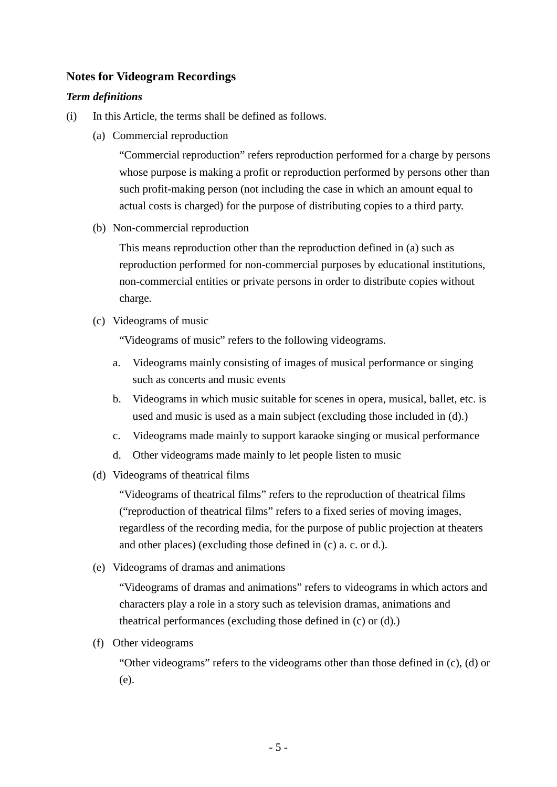# **Notes for Videogram Recordings**

### *Term definitions*

- (i) In this Article, the terms shall be defined as follows.
	- (a) Commercial reproduction

"Commercial reproduction" refers reproduction performed for a charge by persons whose purpose is making a profit or reproduction performed by persons other than such profit-making person (not including the case in which an amount equal to actual costs is charged) for the purpose of distributing copies to a third party.

(b) Non-commercial reproduction

This means reproduction other than the reproduction defined in (a) such as reproduction performed for non-commercial purposes by educational institutions, non-commercial entities or private persons in order to distribute copies without charge.

(c) Videograms of music

"Videograms of music" refers to the following videograms.

- a. Videograms mainly consisting of images of musical performance or singing such as concerts and music events
- b. Videograms in which music suitable for scenes in opera, musical, ballet, etc. is used and music is used as a main subject (excluding those included in (d).)
- c. Videograms made mainly to support karaoke singing or musical performance
- d. Other videograms made mainly to let people listen to music
- (d) Videograms of theatrical films

"Videograms of theatrical films" refers to the reproduction of theatrical films ("reproduction of theatrical films" refers to a fixed series of moving images, regardless of the recording media, for the purpose of public projection at theaters and other places) (excluding those defined in (c) a. c. or d.).

(e) Videograms of dramas and animations

"Videograms of dramas and animations" refers to videograms in which actors and characters play a role in a story such as television dramas, animations and theatrical performances (excluding those defined in (c) or (d).)

(f) Other videograms

"Other videograms" refers to the videograms other than those defined in (c), (d) or (e).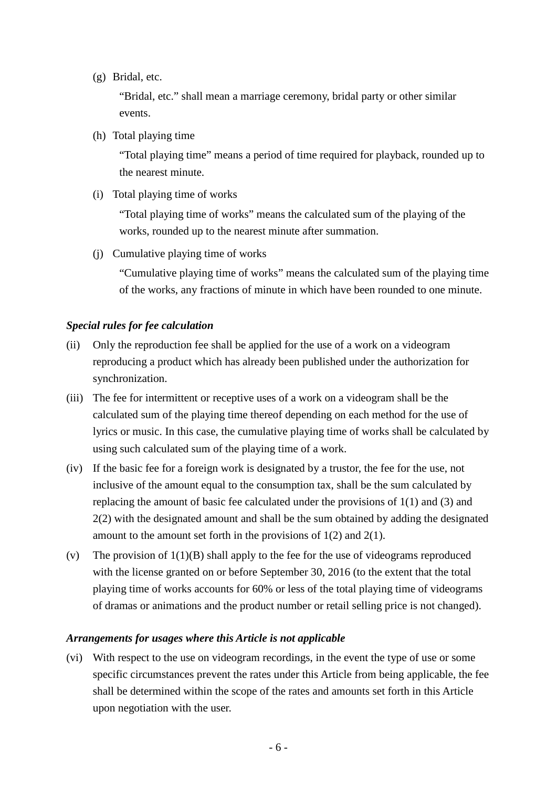(g) Bridal, etc.

"Bridal, etc." shall mean a marriage ceremony, bridal party or other similar events.

(h) Total playing time

"Total playing time" means a period of time required for playback, rounded up to the nearest minute.

(i) Total playing time of works

"Total playing time of works" means the calculated sum of the playing of the works, rounded up to the nearest minute after summation.

(j) Cumulative playing time of works

"Cumulative playing time of works" means the calculated sum of the playing time of the works, any fractions of minute in which have been rounded to one minute.

# *Special rules for fee calculation*

- (ii) Only the reproduction fee shall be applied for the use of a work on a videogram reproducing a product which has already been published under the authorization for synchronization.
- (iii) The fee for intermittent or receptive uses of a work on a videogram shall be the calculated sum of the playing time thereof depending on each method for the use of lyrics or music. In this case, the cumulative playing time of works shall be calculated by using such calculated sum of the playing time of a work.
- (iv) If the basic fee for a foreign work is designated by a trustor, the fee for the use, not inclusive of the amount equal to the consumption tax, shall be the sum calculated by replacing the amount of basic fee calculated under the provisions of 1(1) and (3) and 2(2) with the designated amount and shall be the sum obtained by adding the designated amount to the amount set forth in the provisions of 1(2) and 2(1).
- (v) The provision of  $1(1)(B)$  shall apply to the fee for the use of videograms reproduced with the license granted on or before September 30, 2016 (to the extent that the total playing time of works accounts for 60% or less of the total playing time of videograms of dramas or animations and the product number or retail selling price is not changed).

## *Arrangements for usages where this Article is not applicable*

(vi) With respect to the use on videogram recordings, in the event the type of use or some specific circumstances prevent the rates under this Article from being applicable, the fee shall be determined within the scope of the rates and amounts set forth in this Article upon negotiation with the user.